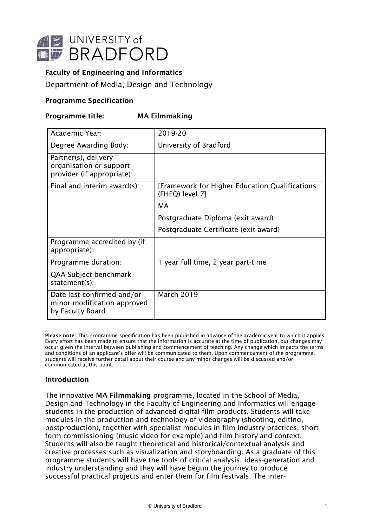

# **Faculty of Engineering and Informatics**

Department of Media, Design and Technology

# **Programme Specification**

# **Programme title: MA Filmmaking**

| Academic Year:                                                                | 2019-20                                                           |
|-------------------------------------------------------------------------------|-------------------------------------------------------------------|
| Degree Awarding Body:                                                         | University of Bradford                                            |
| Partner(s), delivery<br>organisation or support<br>provider (if appropriate): |                                                                   |
| Final and interim award(s):                                                   | [Framework for Higher Education Qualifications<br>(FHEQ) level 7] |
|                                                                               | MA                                                                |
|                                                                               | Postgraduate Diploma (exit award)                                 |
|                                                                               | Postgraduate Certificate (exit award)                             |
| Programme accredited by (if<br>appropriate):                                  |                                                                   |
| Programme duration:                                                           | 1 year full time, 2 year part-time                                |
| QAA Subject benchmark<br>statement(s):                                        |                                                                   |
| Date last confirmed and/or<br>minor modification approved<br>by Faculty Board | <b>March 2019</b>                                                 |

**Please note**: This programme specification has been published in advance of the academic year to which it applies. Every effort has been made to ensure that the information is accurate at the time of publication, but changes may occur given the interval between publishing and commencement of teaching. Any change which impacts the terms and conditions of an applicant's offer will be communicated to them. Upon commencement of the programme, students will receive further detail about their course and any minor changes will be discussed and/or communicated at this point.

### **Introduction**

The innovative **MA Filmmaking** programme, located in the School of Media, Design and Technology in the Faculty of Engineering and Informatics will engage students in the production of advanced digital film products. Students will take modules in the production and technology of videography (shooting, editing, postproduction), together with specialist modules in film industry practices, short form commissioning (music video for example) and film history and context. Students will also be taught theoretical and historical/contextual analysis and creative processes such as visualization and storyboarding. As a graduate of this programme students will have the tools of critical analysis, ideas-generation and industry understanding and they will have begun the journey to produce successful practical projects and enter them for film festivals. The inter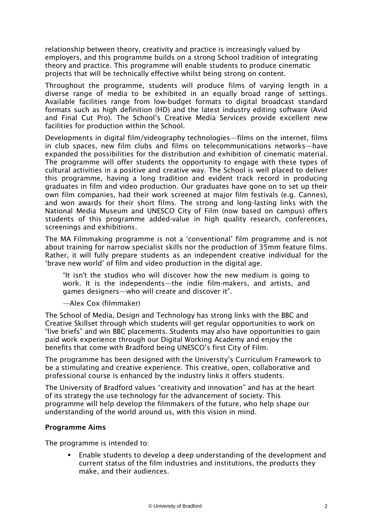relationship between theory, creativity and practice is increasingly valued by employers, and this programme builds on a strong School tradition of integrating theory and practice. This programme will enable students to produce cinematic projects that will be technically effective whilst being strong on content.

Throughout the programme, students will produce films of varying length in a diverse range of media to be exhibited in an equally broad range of settings. Available facilities range from low-budget formats to digital broadcast standard formats such as high definition (HD) and the latest industry editing software (Avid and Final Cut Pro). The School's Creative Media Services provide excellent new facilities for production within the School.

Developments in digital film/videography technologies—films on the internet, films in club spaces, new film clubs and films on telecommunications networks—have expanded the possibilities for the distribution and exhibition of cinematic material. The programme will offer students the opportunity to engage with these types of cultural activities in a positive and creative way. The School is well placed to deliver this programme, having a long tradition and evident track record in producing graduates in film and video production. Our graduates have gone on to set up their own film companies, had their work screened at major film festivals (e.g. Cannes), and won awards for their short films. The strong and long-lasting links with the National Media Museum and UNESCO City of Film (now based on campus) offers students of this programme added-value in high quality research, conferences, screenings and exhibitions.

The MA Filmmaking programme is not a 'conventional' film programme and is not about training for narrow specialist skills nor the production of 35mm feature films. Rather, it will fully prepare students as an independent creative individual for the 'brave new world' of film and video production in the digital age.

"It isn't the studios who will discover how the new medium is going to work. It is the independents—the indie film-makers, and artists, and games designers—who will create and discover it".

—Alex Cox (filmmaker)

The School of Media, Design and Technology has strong links with the BBC and Creative Skillset through which students will get regular opportunities to work on "live briefs" and win BBC placements. Students may also have opportunities to gain paid work experience through our Digital Working Academy and enjoy the benefits that come with Bradford being UNESCO's first City of Film.

The programme has been designed with the University's Curriculum Framework to be a stimulating and creative experience. This creative, open, collaborative and professional course is enhanced by the industry links it offers students.

The University of Bradford values "creativity and innovation" and has at the heart of its strategy the use technology for the advancement of society. This programme will help develop the filmmakers of the future, who help shape our understanding of the world around us, with this vision in mind.

### **Programme Aims**

The programme is intended to:

 Enable students to develop a deep understanding of the development and current status of the film industries and institutions, the products they make, and their audiences.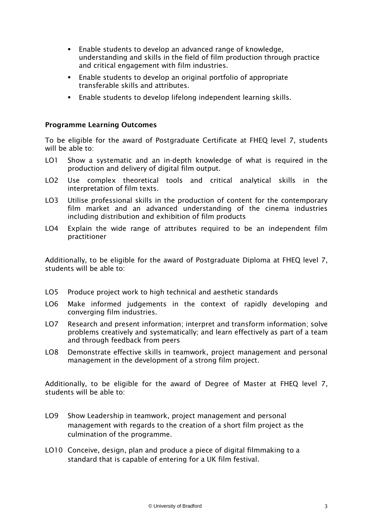- Enable students to develop an advanced range of knowledge, understanding and skills in the field of film production through practice and critical engagement with film industries.
- Enable students to develop an original portfolio of appropriate transferable skills and attributes.
- Enable students to develop lifelong independent learning skills.

### **Programme Learning Outcomes**

To be eligible for the award of Postgraduate Certificate at FHEQ level 7, students will be able to:

- LO1 Show a systematic and an in-depth knowledge of what is required in the production and delivery of digital film output.
- LO2 Use complex theoretical tools and critical analytical skills in the interpretation of film texts.
- LO3 Utilise professional skills in the production of content for the contemporary film market and an advanced understanding of the cinema industries including distribution and exhibition of film products
- LO4 Explain the wide range of attributes required to be an independent film practitioner

Additionally, to be eligible for the award of Postgraduate Diploma at FHEQ level 7, students will be able to:

- LO5 Produce project work to high technical and aesthetic standards
- LO6 Make informed judgements in the context of rapidly developing and converging film industries.
- LO7 Research and present information; interpret and transform information; solve problems creatively and systematically; and learn effectively as part of a team and through feedback from peers
- LO8 Demonstrate effective skills in teamwork, project management and personal management in the development of a strong film project.

Additionally, to be eligible for the award of Degree of Master at FHEQ level 7, students will be able to:

- LO9 Show Leadership in teamwork, project management and personal management with regards to the creation of a short film project as the culmination of the programme.
- LO10 Conceive, design, plan and produce a piece of digital filmmaking to a standard that is capable of entering for a UK film festival.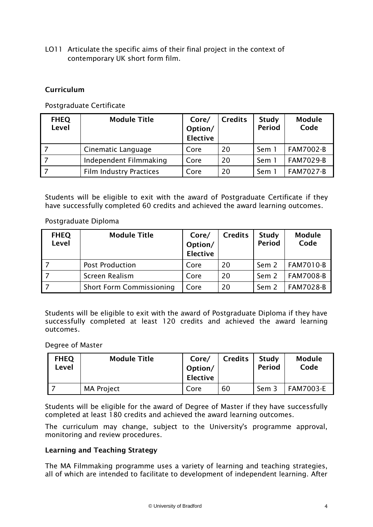LO11 Articulate the specific aims of their final project in the context of contemporary UK short form film.

# **Curriculum**

Postgraduate Certificate

| <b>FHEQ</b><br>Level | <b>Module Title</b>            | Core/<br>Option/<br><b>Elective</b> | <b>Credits</b> | Study<br><b>Period</b> | <b>Module</b><br>Code |
|----------------------|--------------------------------|-------------------------------------|----------------|------------------------|-----------------------|
|                      | Cinematic Language             | Core                                | 20             | Sem 1                  | <b>FAM7002-B</b>      |
|                      | Independent Filmmaking         | Core                                | 20             | Sem 1                  | <b>FAM7029-B</b>      |
|                      | <b>Film Industry Practices</b> | Core                                | 20             | Sem                    | <b>FAM7027-B</b>      |

Students will be eligible to exit with the award of Postgraduate Certificate if they have successfully completed 60 credits and achieved the award learning outcomes.

Postgraduate Diploma

| <b>FHEQ</b><br>Level | <b>Module Title</b>             | Core/<br>Option/<br><b>Elective</b> | <b>Credits</b> | Study<br><b>Period</b> | <b>Module</b><br>Code |
|----------------------|---------------------------------|-------------------------------------|----------------|------------------------|-----------------------|
|                      | <b>Post Production</b>          | Core                                | 20             | Sem 2                  | FAM7010-B             |
|                      | Screen Realism                  | Core                                | 20             | Sem 2                  | <b>FAM7008-B</b>      |
|                      | <b>Short Form Commissioning</b> | Core                                | 20             | Sem 2                  | <b>FAM7028-B</b>      |

Students will be eligible to exit with the award of Postgraduate Diploma if they have successfully completed at least 120 credits and achieved the award learning outcomes.

### Degree of Master

| <b>FHEQ</b><br>Level | <b>Module Title</b> | Core/<br>Option/<br><b>Elective</b> | <b>Credits</b> | Study<br><b>Period</b> | Module<br>Code   |
|----------------------|---------------------|-------------------------------------|----------------|------------------------|------------------|
|                      | <b>MA Project</b>   | Core                                | 60             | Sem 3                  | <b>FAM7003-E</b> |

Students will be eligible for the award of Degree of Master if they have successfully completed at least 180 credits and achieved the award learning outcomes.

The curriculum may change, subject to the University's programme approval, monitoring and review procedures.

## **Learning and Teaching Strategy**

The MA Filmmaking programme uses a variety of learning and teaching strategies, all of which are intended to facilitate to development of independent learning. After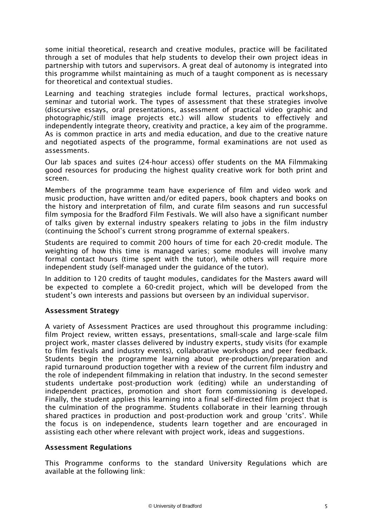some initial theoretical, research and creative modules, practice will be facilitated through a set of modules that help students to develop their own project ideas in partnership with tutors and supervisors. A great deal of autonomy is integrated into this programme whilst maintaining as much of a taught component as is necessary for theoretical and contextual studies.

Learning and teaching strategies include formal lectures, practical workshops, seminar and tutorial work. The types of assessment that these strategies involve (discursive essays, oral presentations, assessment of practical video graphic and photographic/still image projects etc.) will allow students to effectively and independently integrate theory, creativity and practice, a key aim of the programme. As is common practice in arts and media education, and due to the creative nature and negotiated aspects of the programme, formal examinations are not used as assessments.

Our lab spaces and suites (24-hour access) offer students on the MA Filmmaking good resources for producing the highest quality creative work for both print and screen.

Members of the programme team have experience of film and video work and music production, have written and/or edited papers, book chapters and books on the history and interpretation of film, and curate film seasons and run successful film symposia for the Bradford Film Festivals. We will also have a significant number of talks given by external industry speakers relating to jobs in the film industry (continuing the School's current strong programme of external speakers.

Students are required to commit 200 hours of time for each 20-credit module. The weighting of how this time is managed varies; some modules will involve many formal contact hours (time spent with the tutor), while others will require more independent study (self-managed under the guidance of the tutor).

In addition to 120 credits of taught modules, candidates for the Masters award will be expected to complete a 60-credit project, which will be developed from the student's own interests and passions but overseen by an individual supervisor.

# **Assessment Strategy**

A variety of Assessment Practices are used throughout this programme including: film Project review, written essays, presentations, small-scale and large-scale film project work, master classes delivered by industry experts, study visits (for example to film festivals and industry events), collaborative workshops and peer feedback. Students begin the programme learning about pre-production/preparation and rapid turnaround production together with a review of the current film industry and the role of independent filmmaking in relation that industry. In the second semester students undertake post-production work (editing) while an understanding of independent practices, promotion and short form commissioning is developed. Finally, the student applies this learning into a final self-directed film project that is the culmination of the programme. Students collaborate in their learning through shared practices in production and post-production work and group 'crits'. While the focus is on independence, students learn together and are encouraged in assisting each other where relevant with project work, ideas and suggestions.

### **Assessment Regulations**

This Programme conforms to the standard University Regulations which are available at the following link: